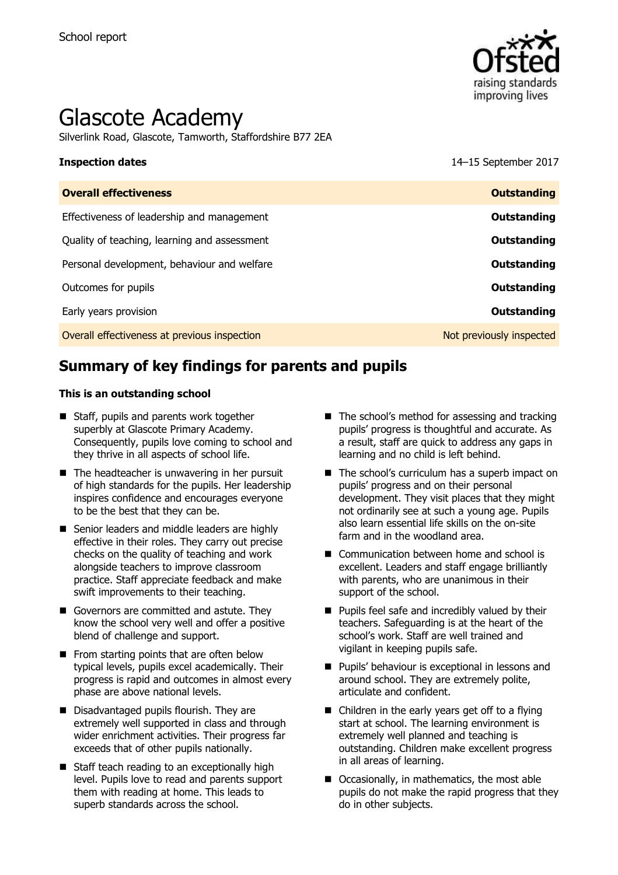

# Glascote Academy

Silverlink Road, Glascote, Tamworth, Staffordshire B77 2EA

**Inspection dates** 14–15 September 2017

| <b>Outstanding</b>       |
|--------------------------|
| Outstanding              |
| Outstanding              |
| Outstanding              |
| Outstanding              |
| Outstanding              |
| Not previously inspected |
|                          |

# **Summary of key findings for parents and pupils**

#### **This is an outstanding school**

- Staff, pupils and parents work together superbly at Glascote Primary Academy. Consequently, pupils love coming to school and they thrive in all aspects of school life.
- $\blacksquare$  The headteacher is unwavering in her pursuit of high standards for the pupils. Her leadership inspires confidence and encourages everyone to be the best that they can be.
- Senior leaders and middle leaders are highly effective in their roles. They carry out precise checks on the quality of teaching and work alongside teachers to improve classroom practice. Staff appreciate feedback and make swift improvements to their teaching.
- Governors are committed and astute. They know the school very well and offer a positive blend of challenge and support.
- $\blacksquare$  From starting points that are often below typical levels, pupils excel academically. Their progress is rapid and outcomes in almost every phase are above national levels.
- Disadvantaged pupils flourish. They are extremely well supported in class and through wider enrichment activities. Their progress far exceeds that of other pupils nationally.
- Staff teach reading to an exceptionally high level. Pupils love to read and parents support them with reading at home. This leads to superb standards across the school.
- $\blacksquare$  The school's method for assessing and tracking pupils' progress is thoughtful and accurate. As a result, staff are quick to address any gaps in learning and no child is left behind.
- The school's curriculum has a superb impact on pupils' progress and on their personal development. They visit places that they might not ordinarily see at such a young age. Pupils also learn essential life skills on the on-site farm and in the woodland area.
- Communication between home and school is excellent. Leaders and staff engage brilliantly with parents, who are unanimous in their support of the school.
- $\blacksquare$  Pupils feel safe and incredibly valued by their teachers. Safeguarding is at the heart of the school's work. Staff are well trained and vigilant in keeping pupils safe.
- **Pupils' behaviour is exceptional in lessons and** around school. They are extremely polite, articulate and confident.
- Children in the early years get off to a flying start at school. The learning environment is extremely well planned and teaching is outstanding. Children make excellent progress in all areas of learning.
- Occasionally, in mathematics, the most able pupils do not make the rapid progress that they do in other subjects.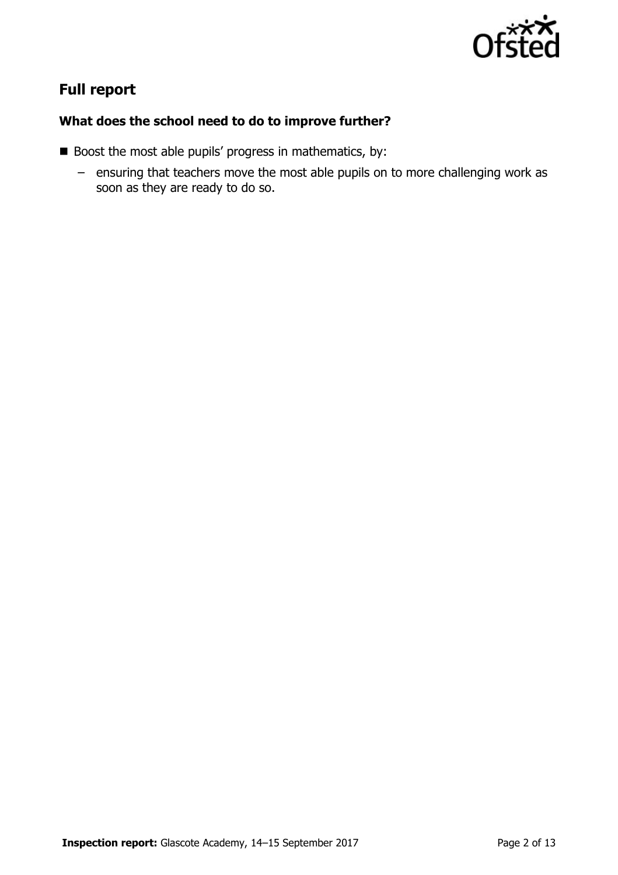

## **Full report**

### **What does the school need to do to improve further?**

- Boost the most able pupils' progress in mathematics, by:
	- ensuring that teachers move the most able pupils on to more challenging work as soon as they are ready to do so.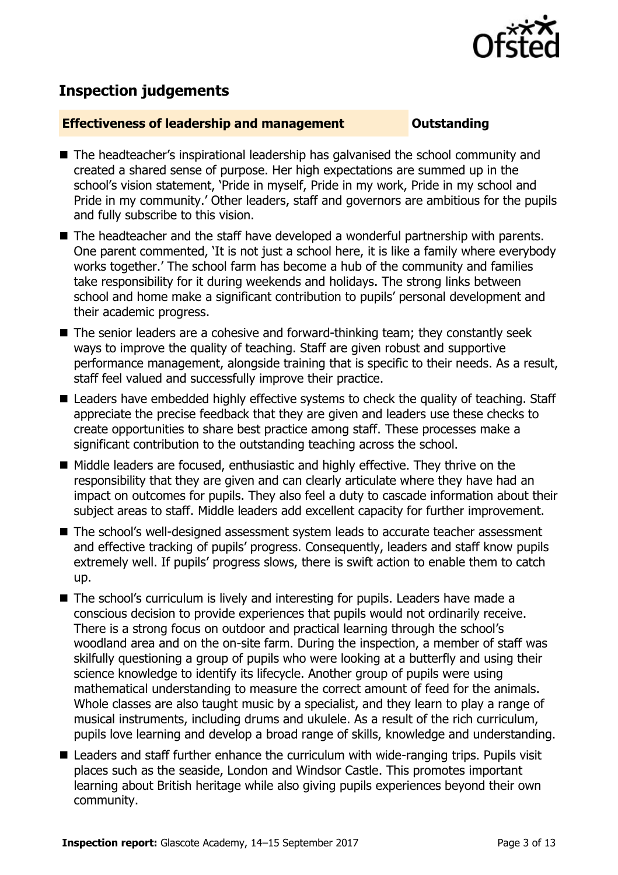

# **Inspection judgements**

### **Effectiveness of leadership and management Constanding**

- The headteacher's inspirational leadership has galvanised the school community and created a shared sense of purpose. Her high expectations are summed up in the school's vision statement, 'Pride in myself, Pride in my work, Pride in my school and Pride in my community.' Other leaders, staff and governors are ambitious for the pupils and fully subscribe to this vision.
- The headteacher and the staff have developed a wonderful partnership with parents. One parent commented, 'It is not just a school here, it is like a family where everybody works together.' The school farm has become a hub of the community and families take responsibility for it during weekends and holidays. The strong links between school and home make a significant contribution to pupils' personal development and their academic progress.
- The senior leaders are a cohesive and forward-thinking team; they constantly seek ways to improve the quality of teaching. Staff are given robust and supportive performance management, alongside training that is specific to their needs. As a result, staff feel valued and successfully improve their practice.
- Leaders have embedded highly effective systems to check the quality of teaching. Staff appreciate the precise feedback that they are given and leaders use these checks to create opportunities to share best practice among staff. These processes make a significant contribution to the outstanding teaching across the school.
- Middle leaders are focused, enthusiastic and highly effective. They thrive on the responsibility that they are given and can clearly articulate where they have had an impact on outcomes for pupils. They also feel a duty to cascade information about their subject areas to staff. Middle leaders add excellent capacity for further improvement.
- The school's well-designed assessment system leads to accurate teacher assessment and effective tracking of pupils' progress. Consequently, leaders and staff know pupils extremely well. If pupils' progress slows, there is swift action to enable them to catch up.
- The school's curriculum is lively and interesting for pupils. Leaders have made a conscious decision to provide experiences that pupils would not ordinarily receive. There is a strong focus on outdoor and practical learning through the school's woodland area and on the on-site farm. During the inspection, a member of staff was skilfully questioning a group of pupils who were looking at a butterfly and using their science knowledge to identify its lifecycle. Another group of pupils were using mathematical understanding to measure the correct amount of feed for the animals. Whole classes are also taught music by a specialist, and they learn to play a range of musical instruments, including drums and ukulele. As a result of the rich curriculum, pupils love learning and develop a broad range of skills, knowledge and understanding.
- Leaders and staff further enhance the curriculum with wide-ranging trips. Pupils visit places such as the seaside, London and Windsor Castle. This promotes important learning about British heritage while also giving pupils experiences beyond their own community.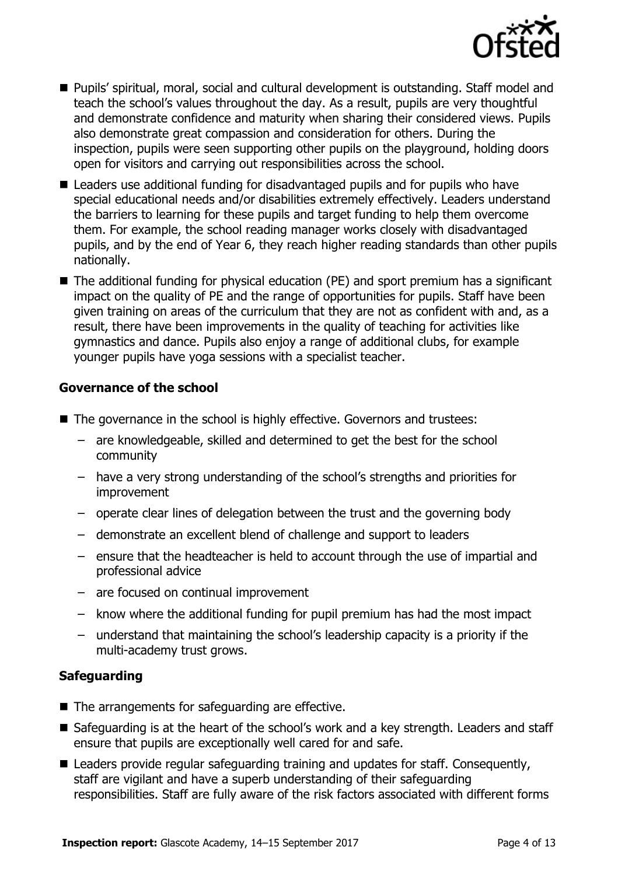

- Pupils' spiritual, moral, social and cultural development is outstanding. Staff model and teach the school's values throughout the day. As a result, pupils are very thoughtful and demonstrate confidence and maturity when sharing their considered views. Pupils also demonstrate great compassion and consideration for others. During the inspection, pupils were seen supporting other pupils on the playground, holding doors open for visitors and carrying out responsibilities across the school.
- Leaders use additional funding for disadvantaged pupils and for pupils who have special educational needs and/or disabilities extremely effectively. Leaders understand the barriers to learning for these pupils and target funding to help them overcome them. For example, the school reading manager works closely with disadvantaged pupils, and by the end of Year 6, they reach higher reading standards than other pupils nationally.
- The additional funding for physical education (PE) and sport premium has a significant impact on the quality of PE and the range of opportunities for pupils. Staff have been given training on areas of the curriculum that they are not as confident with and, as a result, there have been improvements in the quality of teaching for activities like gymnastics and dance. Pupils also enjoy a range of additional clubs, for example younger pupils have yoga sessions with a specialist teacher.

### **Governance of the school**

- The governance in the school is highly effective. Governors and trustees:
	- are knowledgeable, skilled and determined to get the best for the school community
	- have a very strong understanding of the school's strengths and priorities for improvement
	- operate clear lines of delegation between the trust and the governing body
	- demonstrate an excellent blend of challenge and support to leaders
	- ensure that the headteacher is held to account through the use of impartial and professional advice
	- are focused on continual improvement
	- know where the additional funding for pupil premium has had the most impact
	- understand that maintaining the school's leadership capacity is a priority if the multi-academy trust grows.

#### **Safeguarding**

- The arrangements for safeguarding are effective.
- Safeguarding is at the heart of the school's work and a key strength. Leaders and staff ensure that pupils are exceptionally well cared for and safe.
- Leaders provide regular safeguarding training and updates for staff. Consequently, staff are vigilant and have a superb understanding of their safeguarding responsibilities. Staff are fully aware of the risk factors associated with different forms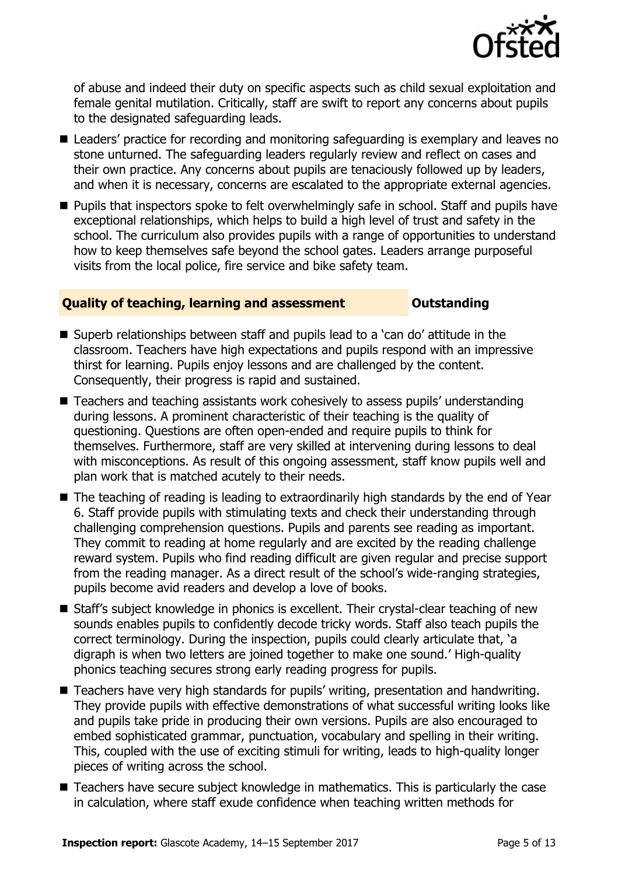

of abuse and indeed their duty on specific aspects such as child sexual exploitation and female genital mutilation. Critically, staff are swift to report any concerns about pupils to the designated safeguarding leads.

- Leaders' practice for recording and monitoring safeguarding is exemplary and leaves no stone unturned. The safeguarding leaders regularly review and reflect on cases and their own practice. Any concerns about pupils are tenaciously followed up by leaders, and when it is necessary, concerns are escalated to the appropriate external agencies.
- **Pupils that inspectors spoke to felt overwhelmingly safe in school. Staff and pupils have** exceptional relationships, which helps to build a high level of trust and safety in the school. The curriculum also provides pupils with a range of opportunities to understand how to keep themselves safe beyond the school gates. Leaders arrange purposeful visits from the local police, fire service and bike safety team.

### **Quality of teaching, learning and assessment <b>Caucalian** Dutstanding

- Superb relationships between staff and pupils lead to a 'can do' attitude in the classroom. Teachers have high expectations and pupils respond with an impressive thirst for learning. Pupils enjoy lessons and are challenged by the content. Consequently, their progress is rapid and sustained.
- Teachers and teaching assistants work cohesively to assess pupils' understanding during lessons. A prominent characteristic of their teaching is the quality of questioning. Questions are often open-ended and require pupils to think for themselves. Furthermore, staff are very skilled at intervening during lessons to deal with misconceptions. As result of this ongoing assessment, staff know pupils well and plan work that is matched acutely to their needs.
- The teaching of reading is leading to extraordinarily high standards by the end of Year 6. Staff provide pupils with stimulating texts and check their understanding through challenging comprehension questions. Pupils and parents see reading as important. They commit to reading at home regularly and are excited by the reading challenge reward system. Pupils who find reading difficult are given regular and precise support from the reading manager. As a direct result of the school's wide-ranging strategies, pupils become avid readers and develop a love of books.
- Staff's subject knowledge in phonics is excellent. Their crystal-clear teaching of new sounds enables pupils to confidently decode tricky words. Staff also teach pupils the correct terminology. During the inspection, pupils could clearly articulate that, 'a digraph is when two letters are joined together to make one sound.' High-quality phonics teaching secures strong early reading progress for pupils.
- Teachers have very high standards for pupils' writing, presentation and handwriting. They provide pupils with effective demonstrations of what successful writing looks like and pupils take pride in producing their own versions. Pupils are also encouraged to embed sophisticated grammar, punctuation, vocabulary and spelling in their writing. This, coupled with the use of exciting stimuli for writing, leads to high-quality longer pieces of writing across the school.
- Teachers have secure subiect knowledge in mathematics. This is particularly the case in calculation, where staff exude confidence when teaching written methods for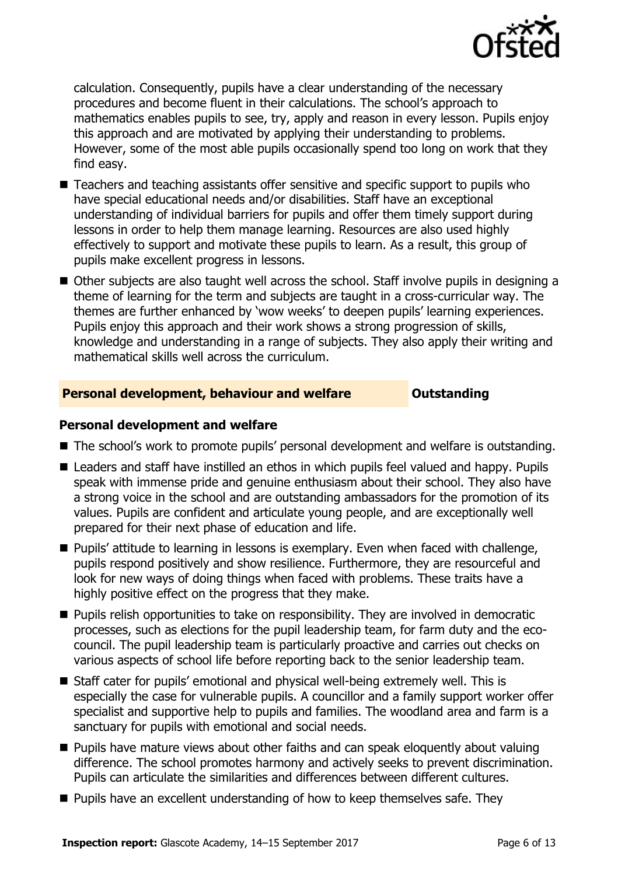

calculation. Consequently, pupils have a clear understanding of the necessary procedures and become fluent in their calculations. The school's approach to mathematics enables pupils to see, try, apply and reason in every lesson. Pupils enjoy this approach and are motivated by applying their understanding to problems. However, some of the most able pupils occasionally spend too long on work that they find easy.

- Teachers and teaching assistants offer sensitive and specific support to pupils who have special educational needs and/or disabilities. Staff have an exceptional understanding of individual barriers for pupils and offer them timely support during lessons in order to help them manage learning. Resources are also used highly effectively to support and motivate these pupils to learn. As a result, this group of pupils make excellent progress in lessons.
- Other subjects are also taught well across the school. Staff involve pupils in designing a theme of learning for the term and subjects are taught in a cross-curricular way. The themes are further enhanced by 'wow weeks' to deepen pupils' learning experiences. Pupils enjoy this approach and their work shows a strong progression of skills, knowledge and understanding in a range of subjects. They also apply their writing and mathematical skills well across the curriculum.

#### **Personal development, behaviour and welfare <b>COUNG COULDER** Outstanding

#### **Personal development and welfare**

- The school's work to promote pupils' personal development and welfare is outstanding.
- Leaders and staff have instilled an ethos in which pupils feel valued and happy. Pupils speak with immense pride and genuine enthusiasm about their school. They also have a strong voice in the school and are outstanding ambassadors for the promotion of its values. Pupils are confident and articulate young people, and are exceptionally well prepared for their next phase of education and life.
- **Pupils'** attitude to learning in lessons is exemplary. Even when faced with challenge, pupils respond positively and show resilience. Furthermore, they are resourceful and look for new ways of doing things when faced with problems. These traits have a highly positive effect on the progress that they make.
- **Pupils relish opportunities to take on responsibility. They are involved in democratic** processes, such as elections for the pupil leadership team, for farm duty and the ecocouncil. The pupil leadership team is particularly proactive and carries out checks on various aspects of school life before reporting back to the senior leadership team.
- Staff cater for pupils' emotional and physical well-being extremely well. This is especially the case for vulnerable pupils. A councillor and a family support worker offer specialist and supportive help to pupils and families. The woodland area and farm is a sanctuary for pupils with emotional and social needs.
- **Pupils have mature views about other faiths and can speak eloquently about valuing** difference. The school promotes harmony and actively seeks to prevent discrimination. Pupils can articulate the similarities and differences between different cultures.
- **Pupils have an excellent understanding of how to keep themselves safe. They**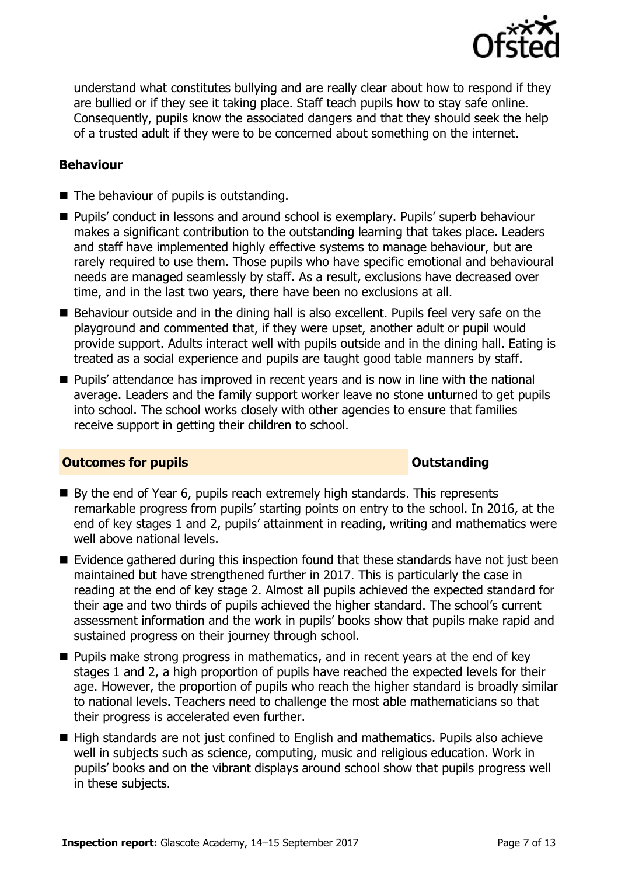

understand what constitutes bullying and are really clear about how to respond if they are bullied or if they see it taking place. Staff teach pupils how to stay safe online. Consequently, pupils know the associated dangers and that they should seek the help of a trusted adult if they were to be concerned about something on the internet.

### **Behaviour**

- The behaviour of pupils is outstanding.
- Pupils' conduct in lessons and around school is exemplary. Pupils' superb behaviour makes a significant contribution to the outstanding learning that takes place. Leaders and staff have implemented highly effective systems to manage behaviour, but are rarely required to use them. Those pupils who have specific emotional and behavioural needs are managed seamlessly by staff. As a result, exclusions have decreased over time, and in the last two years, there have been no exclusions at all.
- Behaviour outside and in the dining hall is also excellent. Pupils feel very safe on the playground and commented that, if they were upset, another adult or pupil would provide support. Adults interact well with pupils outside and in the dining hall. Eating is treated as a social experience and pupils are taught good table manners by staff.
- **Pupils' attendance has improved in recent years and is now in line with the national** average. Leaders and the family support worker leave no stone unturned to get pupils into school. The school works closely with other agencies to ensure that families receive support in getting their children to school.

#### **Outcomes for pupils Outstanding**

- By the end of Year 6, pupils reach extremely high standards. This represents remarkable progress from pupils' starting points on entry to the school. In 2016, at the end of key stages 1 and 2, pupils' attainment in reading, writing and mathematics were well above national levels.
- Evidence gathered during this inspection found that these standards have not just been maintained but have strengthened further in 2017. This is particularly the case in reading at the end of key stage 2. Almost all pupils achieved the expected standard for their age and two thirds of pupils achieved the higher standard. The school's current assessment information and the work in pupils' books show that pupils make rapid and sustained progress on their journey through school.
- **Pupils make strong progress in mathematics, and in recent years at the end of key** stages 1 and 2, a high proportion of pupils have reached the expected levels for their age. However, the proportion of pupils who reach the higher standard is broadly similar to national levels. Teachers need to challenge the most able mathematicians so that their progress is accelerated even further.
- High standards are not just confined to English and mathematics. Pupils also achieve well in subjects such as science, computing, music and religious education. Work in pupils' books and on the vibrant displays around school show that pupils progress well in these subjects.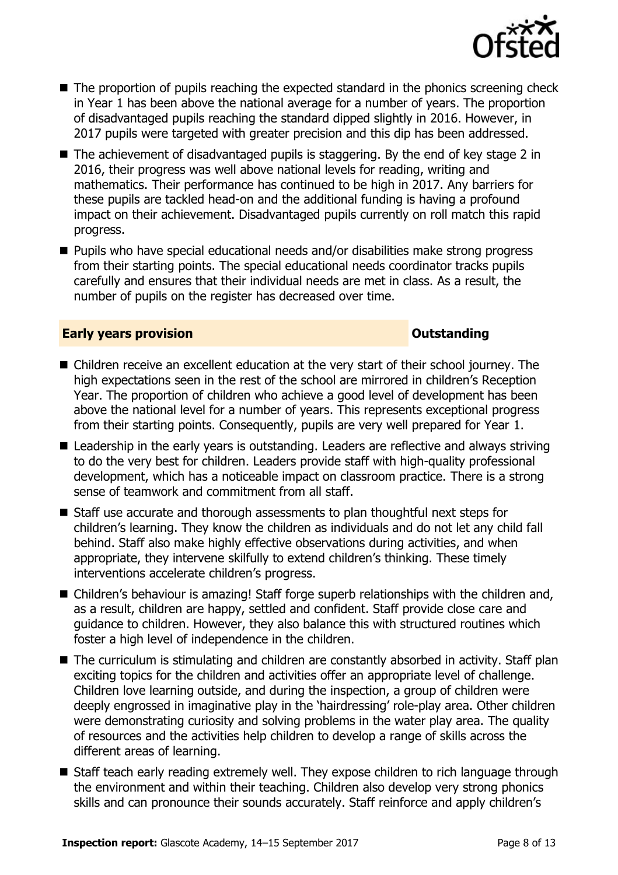

- The proportion of pupils reaching the expected standard in the phonics screening check in Year 1 has been above the national average for a number of years. The proportion of disadvantaged pupils reaching the standard dipped slightly in 2016. However, in 2017 pupils were targeted with greater precision and this dip has been addressed.
- $\blacksquare$  The achievement of disadvantaged pupils is staggering. By the end of key stage 2 in 2016, their progress was well above national levels for reading, writing and mathematics. Their performance has continued to be high in 2017. Any barriers for these pupils are tackled head-on and the additional funding is having a profound impact on their achievement. Disadvantaged pupils currently on roll match this rapid progress.
- Pupils who have special educational needs and/or disabilities make strong progress from their starting points. The special educational needs coordinator tracks pupils carefully and ensures that their individual needs are met in class. As a result, the number of pupils on the register has decreased over time.

#### **Early years provision CONSISTER SERVISION**

- Children receive an excellent education at the very start of their school journey. The high expectations seen in the rest of the school are mirrored in children's Reception Year. The proportion of children who achieve a good level of development has been above the national level for a number of years. This represents exceptional progress from their starting points. Consequently, pupils are very well prepared for Year 1.
- Leadership in the early years is outstanding. Leaders are reflective and always striving to do the very best for children. Leaders provide staff with high-quality professional development, which has a noticeable impact on classroom practice. There is a strong sense of teamwork and commitment from all staff.
- Staff use accurate and thorough assessments to plan thoughtful next steps for children's learning. They know the children as individuals and do not let any child fall behind. Staff also make highly effective observations during activities, and when appropriate, they intervene skilfully to extend children's thinking. These timely interventions accelerate children's progress.
- Children's behaviour is amazing! Staff forge superb relationships with the children and, as a result, children are happy, settled and confident. Staff provide close care and guidance to children. However, they also balance this with structured routines which foster a high level of independence in the children.
- The curriculum is stimulating and children are constantly absorbed in activity. Staff plan exciting topics for the children and activities offer an appropriate level of challenge. Children love learning outside, and during the inspection, a group of children were deeply engrossed in imaginative play in the 'hairdressing' role-play area. Other children were demonstrating curiosity and solving problems in the water play area. The quality of resources and the activities help children to develop a range of skills across the different areas of learning.
- Staff teach early reading extremely well. They expose children to rich language through the environment and within their teaching. Children also develop very strong phonics skills and can pronounce their sounds accurately. Staff reinforce and apply children's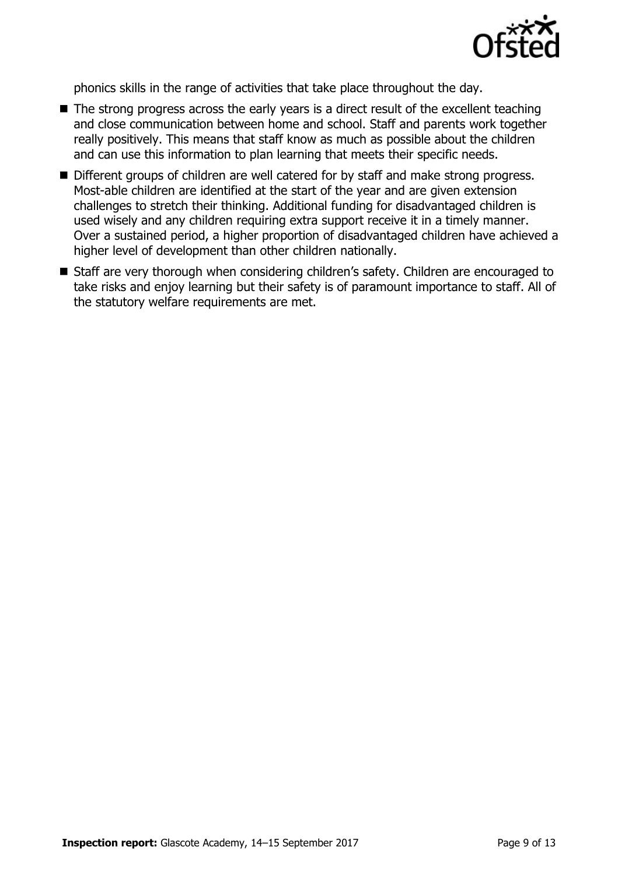

phonics skills in the range of activities that take place throughout the day.

- $\blacksquare$  The strong progress across the early years is a direct result of the excellent teaching and close communication between home and school. Staff and parents work together really positively. This means that staff know as much as possible about the children and can use this information to plan learning that meets their specific needs.
- Different groups of children are well catered for by staff and make strong progress. Most-able children are identified at the start of the year and are given extension challenges to stretch their thinking. Additional funding for disadvantaged children is used wisely and any children requiring extra support receive it in a timely manner. Over a sustained period, a higher proportion of disadvantaged children have achieved a higher level of development than other children nationally.
- Staff are very thorough when considering children's safety. Children are encouraged to take risks and enjoy learning but their safety is of paramount importance to staff. All of the statutory welfare requirements are met.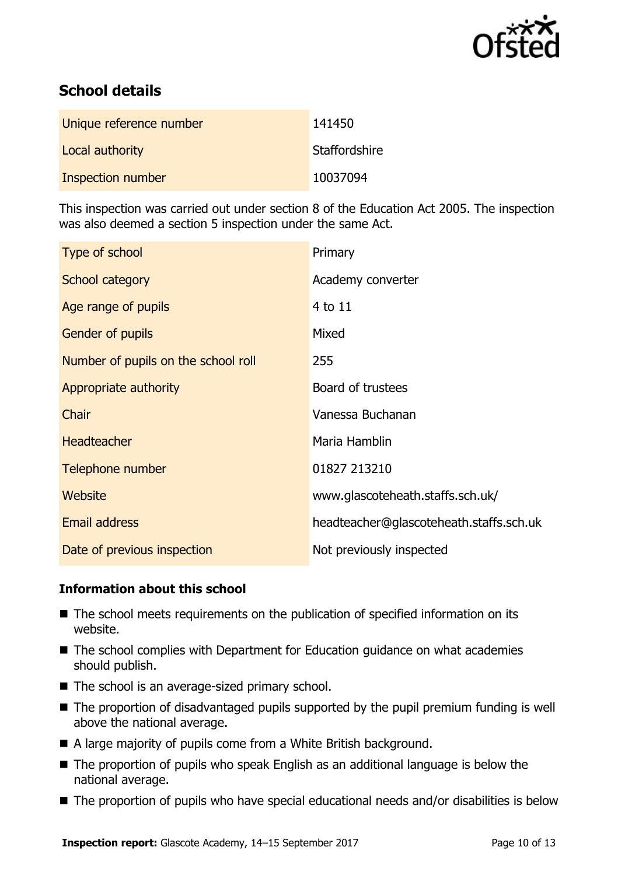

# **School details**

| Unique reference number | 141450        |
|-------------------------|---------------|
| Local authority         | Staffordshire |
| Inspection number       | 10037094      |

This inspection was carried out under section 8 of the Education Act 2005. The inspection was also deemed a section 5 inspection under the same Act.

| Type of school                      | Primary                                 |
|-------------------------------------|-----------------------------------------|
| School category                     | Academy converter                       |
| Age range of pupils                 | 4 to 11                                 |
| <b>Gender of pupils</b>             | Mixed                                   |
| Number of pupils on the school roll | 255                                     |
| Appropriate authority               | Board of trustees                       |
| Chair                               | Vanessa Buchanan                        |
| <b>Headteacher</b>                  | Maria Hamblin                           |
| Telephone number                    | 01827 213210                            |
| Website                             | www.glascoteheath.staffs.sch.uk/        |
| Email address                       | headteacher@glascoteheath.staffs.sch.uk |
| Date of previous inspection         | Not previously inspected                |

#### **Information about this school**

- The school meets requirements on the publication of specified information on its website.
- The school complies with Department for Education guidance on what academies should publish.
- The school is an average-sized primary school.
- The proportion of disadvantaged pupils supported by the pupil premium funding is well above the national average.
- A large majority of pupils come from a White British background.
- The proportion of pupils who speak English as an additional language is below the national average.
- The proportion of pupils who have special educational needs and/or disabilities is below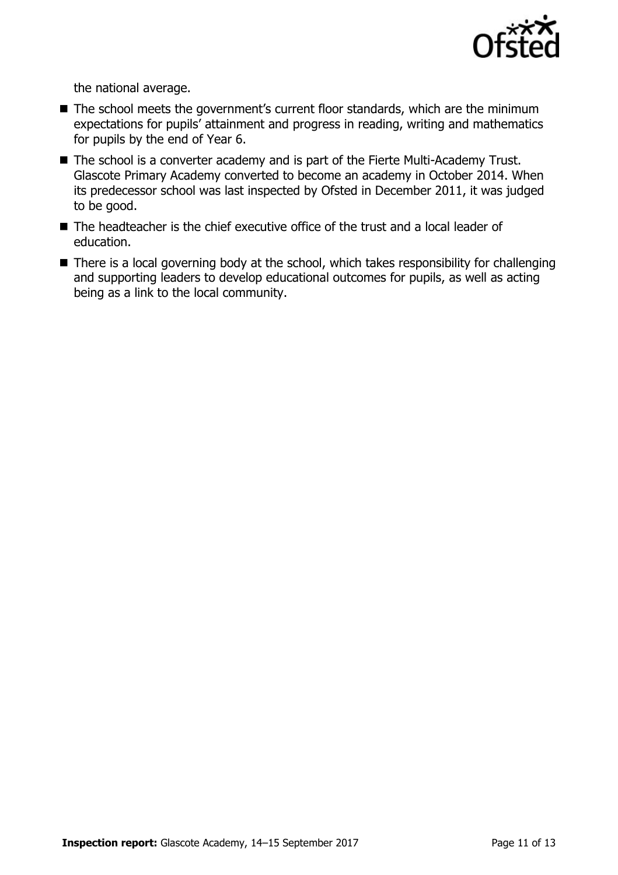

the national average.

- The school meets the government's current floor standards, which are the minimum expectations for pupils' attainment and progress in reading, writing and mathematics for pupils by the end of Year 6.
- The school is a converter academy and is part of the Fierte Multi-Academy Trust. Glascote Primary Academy converted to become an academy in October 2014. When its predecessor school was last inspected by Ofsted in December 2011, it was judged to be good.
- The headteacher is the chief executive office of the trust and a local leader of education.
- There is a local governing body at the school, which takes responsibility for challenging and supporting leaders to develop educational outcomes for pupils, as well as acting being as a link to the local community.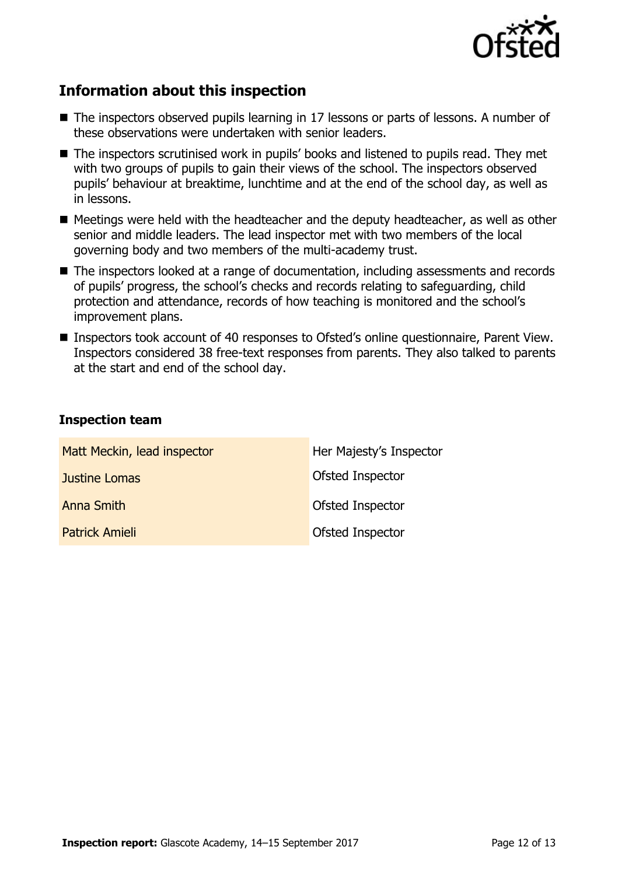

# **Information about this inspection**

- The inspectors observed pupils learning in 17 lessons or parts of lessons. A number of these observations were undertaken with senior leaders.
- The inspectors scrutinised work in pupils' books and listened to pupils read. They met with two groups of pupils to gain their views of the school. The inspectors observed pupils' behaviour at breaktime, lunchtime and at the end of the school day, as well as in lessons.
- Meetings were held with the headteacher and the deputy headteacher, as well as other senior and middle leaders. The lead inspector met with two members of the local governing body and two members of the multi-academy trust.
- The inspectors looked at a range of documentation, including assessments and records of pupils' progress, the school's checks and records relating to safeguarding, child protection and attendance, records of how teaching is monitored and the school's improvement plans.
- Inspectors took account of 40 responses to Ofsted's online questionnaire, Parent View. Inspectors considered 38 free-text responses from parents. They also talked to parents at the start and end of the school day.

### **Inspection team**

| Matt Meckin, lead inspector | Her Majesty's Inspector |
|-----------------------------|-------------------------|
| Justine Lomas               | Ofsted Inspector        |
| Anna Smith                  | Ofsted Inspector        |
| <b>Patrick Amieli</b>       | Ofsted Inspector        |